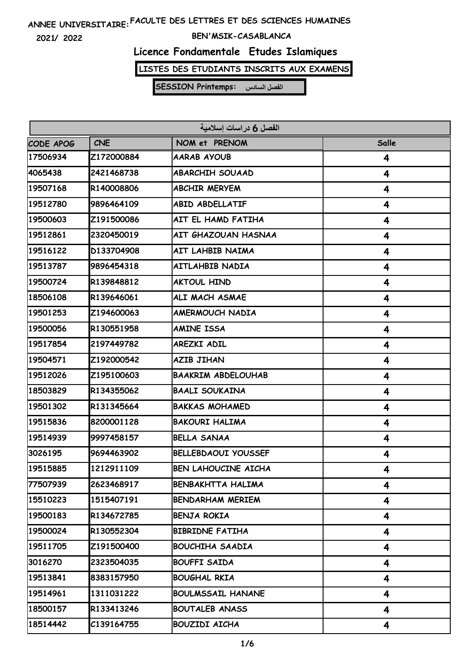**2021/ 2022**

#### **BEN'MSIK-CASABLANCA**

### **Licence Fondamentale Etudes Islamiques**

**LISTES DES ETUDIANTS INSCRITS AUX EXAMENS**

| الفصل 6 دراسات إسلامية |            |                            |       |  |
|------------------------|------------|----------------------------|-------|--|
| CODE APOG              | <b>CNE</b> | NOM et PRENOM              | Salle |  |
| 17506934               | Z172000884 | <b>AARAB AYOUB</b>         | 4     |  |
| 4065438                | 2421468738 | <b>ABARCHIH SOUAAD</b>     | 4     |  |
| 19507168               | R140008806 | <b>ABCHIR MERYEM</b>       | 4     |  |
| 19512780               | 9896464109 | <b>ABID ABDELLATIF</b>     | 4     |  |
| 19500603               | Z191500086 | AIT EL HAMD FATIHA         | 4     |  |
| 19512861               | 2320450019 | <b>AIT GHAZOUAN HASNAA</b> | 4     |  |
| 19516122               | D133704908 | AIT LAHBIB NAIMA           | 4     |  |
| 19513787               | 9896454318 | AITLAHBIB NADIA            | 4     |  |
| 19500724               | R139848812 | <b>AKTOUL HIND</b>         | 4     |  |
| 18506108               | R139646061 | ALI MACH ASMAE             | 4     |  |
| 19501253               | Z194600063 | <b>AMERMOUCH NADIA</b>     | 4     |  |
| 19500056               | R130551958 | <b>AMINE ISSA</b>          | 4     |  |
| 19517854               | 2197449782 | AREZKI ADIL                | 4     |  |
| 19504571               | Z192000542 | <b>AZIB JIHAN</b>          | 4     |  |
| 19512026               | Z195100603 | <b>BAAKRIM ABDELOUHAB</b>  | 4     |  |
| 18503829               | R134355062 | <b>BAALI SOUKAINA</b>      | 4     |  |
| 19501302               | R131345664 | <b>BAKKAS MOHAMED</b>      | 4     |  |
| 19515836               | 8200001128 | <b>BAKOURI HALIMA</b>      | 4     |  |
| 19514939               | 9997458157 | <b>BELLA SANAA</b>         | 4     |  |
| 3026195                | 9694463902 | <b>BELLEBDAOUI YOUSSEF</b> | 4     |  |
| 19515885               | 1212911109 | <b>BEN LAHOUCINE AICHA</b> | 4     |  |
| 77507939               | 2623468917 | BENBAKHTTA HALIMA          | 4     |  |
| 15510223               | 1515407191 | <b>BENDARHAM MERIEM</b>    | 4     |  |
| 19500183               | R134672785 | <b>BENJA ROKIA</b>         | 4     |  |
| 19500024               | R130552304 | <b>BIBRIDNE FATIHA</b>     | 4     |  |
| 19511705               | Z191500400 | <b>BOUCHIHA SAADIA</b>     | 4     |  |
| 3016270                | 2323504035 | <b>BOUFFI SAIDA</b>        | 4     |  |
| 19513841               | 8383157950 | <b>BOUGHAL RKIA</b>        | 4     |  |
| 19514961               | 1311031222 | <b>BOULMSSAIL HANANE</b>   | 4     |  |
| 18500157               | R133413246 | <b>BOUTALEB ANASS</b>      | 4     |  |
| 18514442               | C139164755 | <b>BOUZIDI AICHA</b>       | 4     |  |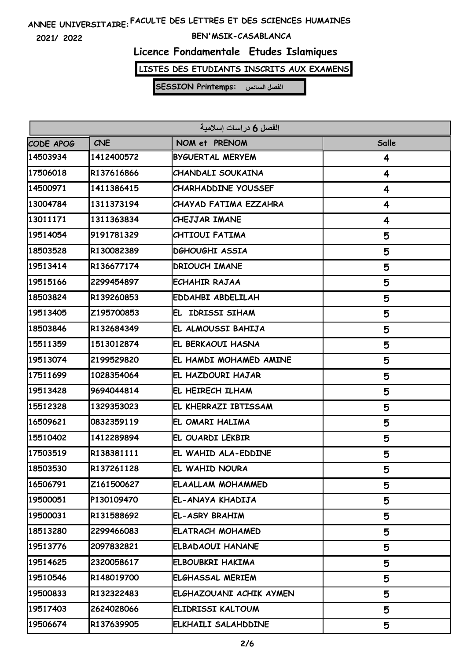**2021/ 2022**

#### **BEN'MSIK-CASABLANCA**

# **Licence Fondamentale Etudes Islamiques**

**LISTES DES ETUDIANTS INSCRITS AUX EXAMENS**

| الفصل 6 دراسات إسلامية |            |                            |       |  |
|------------------------|------------|----------------------------|-------|--|
| CODE APOG              | <b>CNE</b> | NOM et PRENOM              | Salle |  |
| 14503934               | 1412400572 | <b>BYGUERTAL MERYEM</b>    | 4     |  |
| 17506018               | R137616866 | <b>CHANDALI SOUKAINA</b>   | 4     |  |
| 14500971               | 1411386415 | <b>CHARHADDINE YOUSSEF</b> | 4     |  |
| 13004784               | 1311373194 | CHAYAD FATIMA EZZAHRA      | 4     |  |
| 13011171               | 1311363834 | <b>CHEJJAR IMANE</b>       | 4     |  |
| 19514054               | 9191781329 | CHTIOUI FATIMA             | 5     |  |
| 18503528               | R130082389 | <b>DGHOUGHI ASSIA</b>      | 5     |  |
| 19513414               | R136677174 | <b>DRIOUCH IMANE</b>       | 5     |  |
| 19515166               | 2299454897 | <b>ECHAHIR RAJAA</b>       | 5     |  |
| 18503824               | R139260853 | <b>EDDAHBI ABDELILAH</b>   | 5     |  |
| 19513405               | Z195700853 | EL IDRISSI SIHAM           | 5     |  |
| 18503846               | R132684349 | EL ALMOUSSI BAHIJA         | 5     |  |
| 15511359               | 1513012874 | EL BERKAOUI HASNA          | 5     |  |
| 19513074               | 2199529820 | EL HAMDI MOHAMED AMINE     | 5     |  |
| 17511699               | 1028354064 | EL HAZDOURI HAJAR          | 5     |  |
| 19513428               | 9694044814 | EL HEIRECH ILHAM           | 5     |  |
| 15512328               | 1329353023 | EL KHERRAZI IBTISSAM       | 5     |  |
| 16509621               | 0832359119 | EL OMARI HALIMA            | 5     |  |
| 15510402               | 1412289894 | EL OUARDI LEKBIR           | 5     |  |
| 17503519               | R138381111 | EL WAHID ALA-EDDINE        | 5     |  |
| 18503530               | R137261128 | EL WAHID NOURA             | 5     |  |
| 16506791               | Z161500627 | <b>ELAALLAM MOHAMMED</b>   | 5     |  |
| 19500051               | P130109470 | EL-ANAYA KHADIJA           | 5     |  |
| 19500031               | R131588692 | EL-ASRY BRAHIM             | 5     |  |
| 18513280               | 2299466083 | <b>ELATRACH MOHAMED</b>    | 5     |  |
| 19513776               | 2097832821 | <b>ELBADAOUI HANANE</b>    | 5     |  |
| 19514625               | 2320058617 | ELBOUBKRI HAKIMA           | 5     |  |
| 19510546               | R148019700 | <b>ELGHASSAL MERIEM</b>    | 5     |  |
| 19500833               | R132322483 | ELGHAZOUANI ACHIK AYMEN    | 5     |  |
| 19517403               | 2624028066 | ELIDRISSI KALTOUM          | 5     |  |
| 19506674               | R137639905 | ELKHAILI SALAHDDINE        | 5     |  |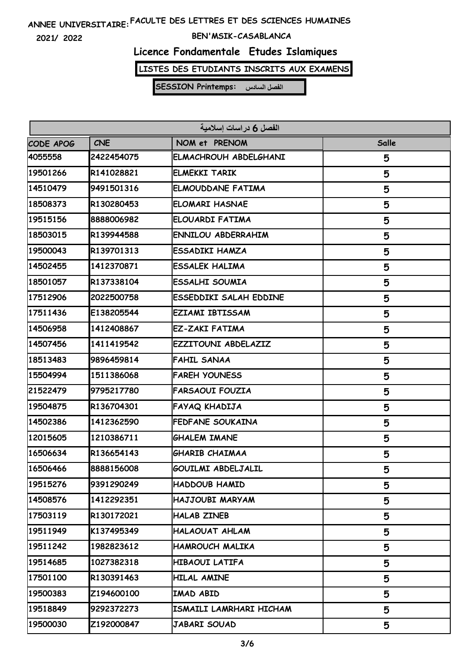**2021/ 2022**

#### **BEN'MSIK-CASABLANCA**

### **Licence Fondamentale Etudes Islamiques**

**LISTES DES ETUDIANTS INSCRITS AUX EXAMENS**

| الفصل 6 دراسات إسلامية |            |                           |       |  |
|------------------------|------------|---------------------------|-------|--|
| CODE APOG              | <b>CNE</b> | NOM et PRENOM             | Salle |  |
| 4055558                | 2422454075 | ELMACHROUH ABDELGHANI     | 5     |  |
| 19501266               | R141028821 | <b>ELMEKKI TARIK</b>      | 5     |  |
| 14510479               | 9491501316 | <b>ELMOUDDANE FATIMA</b>  | 5     |  |
| 18508373               | R130280453 | <b>ELOMARI HASNAE</b>     | 5     |  |
| 19515156               | 8888006982 | ELOUARDI FATIMA           | 5     |  |
| 18503015               | R139944588 | <b>ENNILOU ABDERRAHIM</b> | 5     |  |
| 19500043               | R139701313 | <b>ESSADIKI HAMZA</b>     | 5     |  |
| 14502455               | 1412370871 | <b>ESSALEK HALIMA</b>     | 5     |  |
| 18501057               | R137338104 | <b>ESSALHI SOUMIA</b>     | 5     |  |
| 17512906               | 2022500758 | ESSEDDIKI SALAH EDDINE    | 5     |  |
| 17511436               | E138205544 | <b>EZIAMI IBTISSAM</b>    | 5     |  |
| 14506958               | 1412408867 | <b>EZ-ZAKI FATIMA</b>     | 5     |  |
| 14507456               | 1411419542 | EZZITOUNI ABDELAZIZ       | 5     |  |
| 18513483               | 9896459814 | <b>FAHIL SANAA</b>        | 5     |  |
| 15504994               | 1511386068 | <b>FAREH YOUNESS</b>      | 5     |  |
| 21522479               | 9795217780 | <b>FARSAOUI FOUZIA</b>    | 5     |  |
| 19504875               | R136704301 | FAYAQ KHADIJA             | 5     |  |
| 14502386               | 1412362590 | <b>FEDFANE SOUKAINA</b>   | 5     |  |
| 12015605               | 1210386711 | <b>GHALEM IMANE</b>       | 5     |  |
| 16506634               | R136654143 | <b>GHARIB CHAIMAA</b>     | 5     |  |
| 16506466               | 8888156008 | <b>GOUILMI ABDELJALIL</b> | 5     |  |
| 19515276               | 9391290249 | HADDOUB HAMID             | 5     |  |
| 14508576               | 1412292351 | HAJJOUBI MARYAM           | 5     |  |
| 17503119               | R130172021 | <b>HALAB ZINEB</b>        | 5     |  |
| 19511949               | K137495349 | <b>HALAOUAT AHLAM</b>     | 5     |  |
| 19511242               | 1982823612 | HAMROUCH MALIKA           | 5     |  |
| 19514685               | 1027382318 | <b>HIBAOUI LATIFA</b>     | 5     |  |
| 17501100               | R130391463 | <b>HILAL AMINE</b>        | 5     |  |
| 19500383               | Z194600100 | IMAD ABID                 | 5     |  |
| 19518849               | 9292372273 | ISMAILI LAMRHARI HICHAM   | 5     |  |
| 19500030               | Z192000847 | JABARI SOUAD              | 5     |  |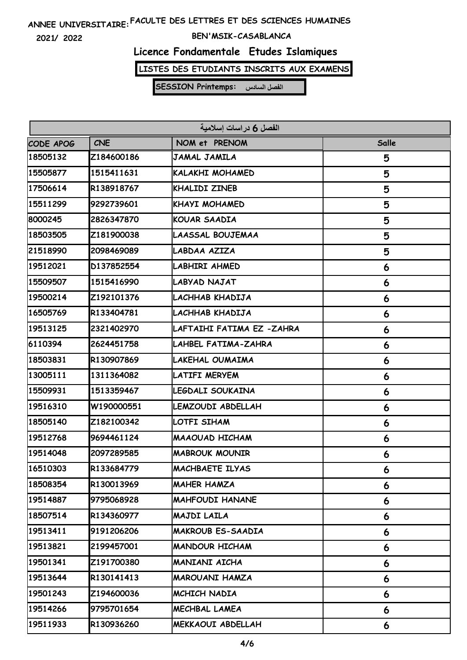**2021/ 2022**

#### **BEN'MSIK-CASABLANCA**

### **Licence Fondamentale Etudes Islamiques**

**LISTES DES ETUDIANTS INSCRITS AUX EXAMENS**

| الفصل 6 دراسات إسلامية |            |                           |       |  |
|------------------------|------------|---------------------------|-------|--|
| <b>CODE APOG</b>       | <b>CNE</b> | NOM et PRENOM             | Salle |  |
| 18505132               | Z184600186 | JAMAL JAMILA              | 5     |  |
| 15505877               | 1515411631 | KALAKHI MOHAMED           | 5     |  |
| 17506614               | R138918767 | <b>KHALIDI ZINEB</b>      | 5     |  |
| 15511299               | 9292739601 | <b>KHAYI MOHAMED</b>      | 5     |  |
| 8000245                | 2826347870 | <b>KOUAR SAADIA</b>       | 5     |  |
| 18503505               | Z181900038 | LAASSAL BOUJEMAA          | 5     |  |
| 21518990               | 2098469089 | LABDAA AZIZA              | 5     |  |
| 19512021               | D137852554 | LABHIRI AHMED             | 6     |  |
| 15509507               | 1515416990 | <b>LABYAD NAJAT</b>       | 6     |  |
| 19500214               | Z192101376 | LACHHAB KHADIJA           | 6     |  |
| 16505769               | R133404781 | LACHHAB KHADIJA           | 6     |  |
| 19513125               | 2321402970 | LAFTAIHI FATIMA EZ -ZAHRA | 6     |  |
| 6110394                | 2624451758 | LAHBEL FATIMA-ZAHRA       | 6     |  |
| 18503831               | R130907869 | LAKEHAL OUMAIMA           | 6     |  |
| 13005111               | 1311364082 | <b>LATIFI MERYEM</b>      | 6     |  |
| 15509931               | 1513359467 | LEGDALI SOUKAINA          | 6     |  |
| 19516310               | W190000551 | LEMZOUDI ABDELLAH         | 6     |  |
| 18505140               | Z182100342 | LOTFI SIHAM               | 6     |  |
| 19512768               | 9694461124 | <b>MAAOUAD HICHAM</b>     | 6     |  |
| 19514048               | 2097289585 | <b>MABROUK MOUNIR</b>     | 6     |  |
| 16510303               | R133684779 | IMACHBAETE ILYAS          | 6     |  |
| 18508354               | R130013969 | MAHER HAMZA               | 6     |  |
| 19514887               | 9795068928 | <b>MAHFOUDI HANANE</b>    | 6     |  |
| 18507514               | R134360977 | MAJDI LAILA               | 6     |  |
| 19513411               | 9191206206 | <b>MAKROUB ES-SAADIA</b>  | 6     |  |
| 19513821               | 2199457001 | <b>MANDOUR HICHAM</b>     | 6     |  |
| 19501341               | Z191700380 | MANIANI AICHA             | 6     |  |
| 19513644               | R130141413 | <b>MAROUANI HAMZA</b>     | 6     |  |
| 19501243               | Z194600036 | MCHICH NADIA              | 6     |  |
| 19514266               | 9795701654 | MECHBAL LAMEA             | 6     |  |
| 19511933               | R130936260 | MEKKAOUI ABDELLAH         | 6     |  |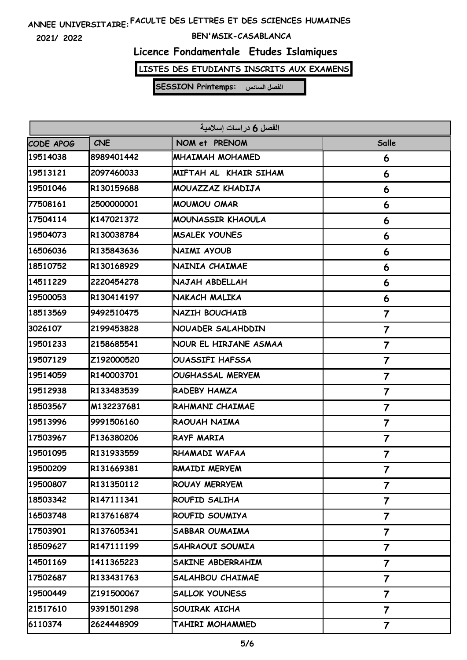**2021/ 2022**

#### **BEN'MSIK-CASABLANCA**

### **Licence Fondamentale Etudes Islamiques**

**LISTES DES ETUDIANTS INSCRITS AUX EXAMENS**

| الفصل 6 در اسات اسلامية |            |                         |                         |  |
|-------------------------|------------|-------------------------|-------------------------|--|
| CODE APOG               | <b>CNE</b> | NOM et PRENOM           | Salle                   |  |
| 19514038                | 8989401442 | <b>MHAIMAH MOHAMED</b>  | 6                       |  |
| 19513121                | 2097460033 | MIFTAH AL KHAIR SIHAM   | 6                       |  |
| 19501046                | R130159688 | MOUAZZAZ KHADIJA        | 6                       |  |
| 77508161                | 2500000001 | <b>MOUMOU OMAR</b>      | 6                       |  |
| 17504114                | K147021372 | MOUNASSIR KHAOULA       | 6                       |  |
| 19504073                | R130038784 | <b>MSALEK YOUNES</b>    | 6                       |  |
| 16506036                | R135843636 | NAIMI AYOUB             | 6                       |  |
| 18510752                | R130168929 | NAINIA CHAIMAE          | 6                       |  |
| 14511229                | 2220454278 | NAJAH ABDELLAH          | 6                       |  |
| 19500053                | R130414197 | NAKACH MALIKA           | 6                       |  |
| 18513569                | 9492510475 | NAZIH BOUCHAIB          | 7                       |  |
| 3026107                 | 2199453828 | NOUADER SALAHDDIN       | 7                       |  |
| 19501233                | 2158685541 | NOUR EL HIRJANE ASMAA   | $\overline{\mathbf{7}}$ |  |
| 19507129                | Z192000520 | <b>OUASSIFI HAFSSA</b>  | 7                       |  |
| 19514059                | R140003701 | <b>OUGHASSAL MERYEM</b> | 7                       |  |
| 19512938                | R133483539 | RADEBY HAMZA            | 7                       |  |
| 18503567                | M132237681 | RAHMANI CHAIMAE         | 7                       |  |
| 19513996                | 9991506160 | RAOUAH NAIMA            | 7                       |  |
| 17503967                | F136380206 | <b>RAYF MARIA</b>       | 7                       |  |
| 19501095                | R131933559 | RHAMADI WAFAA           | 7                       |  |
| 19500209                | R131669381 | RMAIDI MERYEM           | 7                       |  |
| 19500807                | R131350112 | ROUAY MERRYEM           | $\overline{\mathbf{7}}$ |  |
| 18503342                | R147111341 | ROUFID SALIHA           | $\overline{\mathbf{7}}$ |  |
| 16503748                | R137616874 | ROUFID SOUMIYA          | 7                       |  |
| 17503901                | R137605341 | SABBAR OUMAIMA          | $\overline{\mathbf{7}}$ |  |
| 18509627                | R147111199 | SAHRAOUI SOUMIA         | $\overline{\mathbf{7}}$ |  |
| 14501169                | 1411365223 | SAKINE ABDERRAHIM       | $\overline{\mathbf{7}}$ |  |
| 17502687                | R133431763 | <b>SALAHBOU CHAIMAE</b> | $\overline{\mathbf{7}}$ |  |
| 19500449                | Z191500067 | <b>SALLOK YOUNESS</b>   | $\overline{\mathbf{7}}$ |  |
| 21517610                | 9391501298 | SOUIRAK AICHA           | $\overline{\mathbf{7}}$ |  |
| 6110374                 | 2624448909 | TAHIRI MOHAMMED         | 7                       |  |